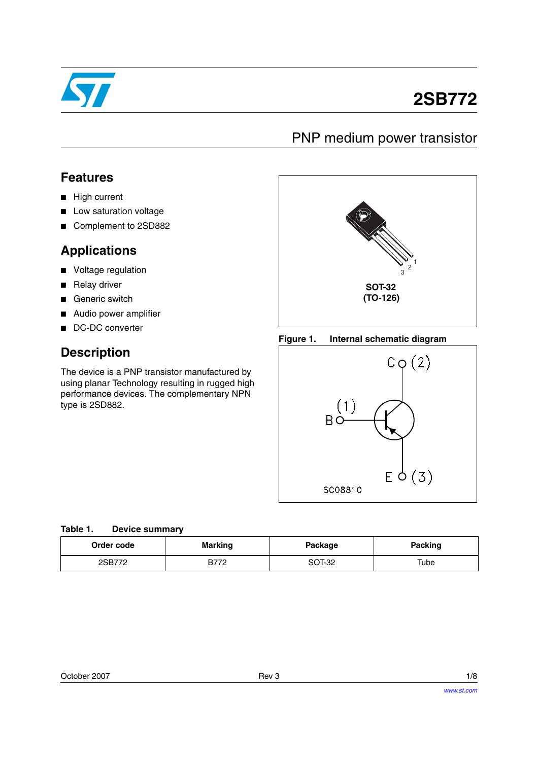

# **2SB772**

# PNP medium power transistor

### **Features**

- High current
- Low saturation voltage
- Complement to 2SD882

### **Applications**

- Voltage regulation
- Relay driver
- Generic switch
- Audio power amplifier
- DC-DC converter

## **Description**

The device is a PNP transistor manufactured by using planar Technology resulting in rugged high performance devices. The complementary NPN type is 2SD882.



#### **Figure 1. Internal schematic diagram**



|  | Table 1. |  | <b>Device summary</b> |
|--|----------|--|-----------------------|
|--|----------|--|-----------------------|

| Order code | <b>Marking</b> | Package | Packing |
|------------|----------------|---------|---------|
| 2SB772     | <b>B772</b>    | SOT-32  | Tube    |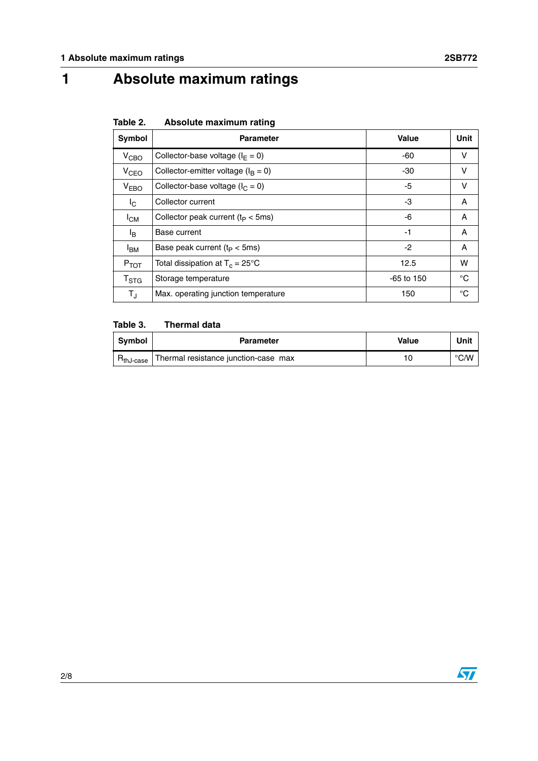# **1 Absolute maximum ratings**

| Table 2. |  | Absolute maximum rating |  |
|----------|--|-------------------------|--|
|----------|--|-------------------------|--|

| Symbol                    | <b>Parameter</b>                          | Value        | Unit |
|---------------------------|-------------------------------------------|--------------|------|
| V <sub>CBO</sub>          | Collector-base voltage ( $I_F = 0$ )      | $-60$        | v    |
| V <sub>CEO</sub>          | Collector-emitter voltage ( $I_B = 0$ )   | $-30$        | v    |
| V <sub>EBO</sub>          | Collector-base voltage ( $I_C = 0$ )      | -5           | v    |
| I <sub>C</sub>            | Collector current                         | -3           | Α    |
| $I_{CM}$                  | Collector peak current $(t_P < 5ms)$      | -6           | A    |
| l <sub>B</sub>            | Base current                              | $-1$         | Α    |
| <b>I<sub>BM</sub></b>     | Base peak current $(t_P < 5ms)$           | -2           | Α    |
| $P_{TOT}$                 | Total dissipation at $T_c = 25^{\circ}$ C | 12.5         | w    |
| $\mathsf{T}_{\text{STG}}$ | Storage temperature                       | $-65$ to 150 | °C   |
| $T_{\rm J}$               | Max. operating junction temperature       | 150          | °C   |

### **Table 3. Thermal data**

| <b>Symbol</b> | <b>Parameter</b>                     | Value | Unit               |
|---------------|--------------------------------------|-------|--------------------|
| hJ-case       | Thermal resistance junction-case max |       | $\rm ^{\circ}$ C/W |

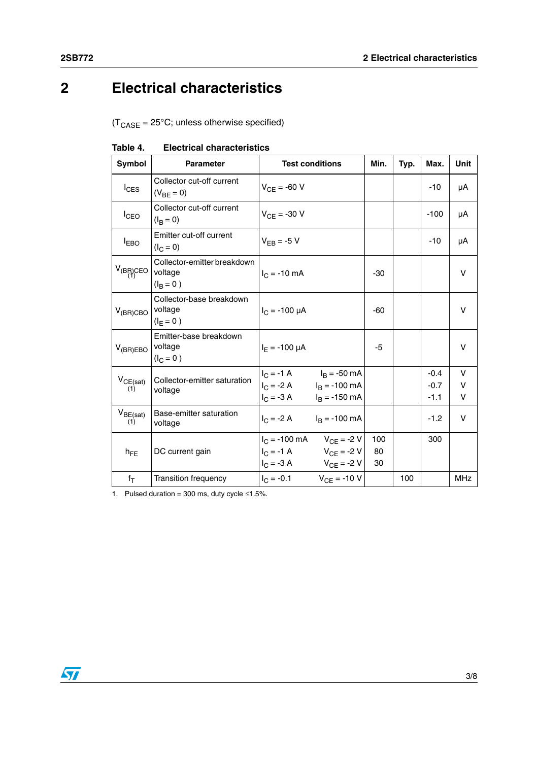# **2 Electrical characteristics**

 $(T_{\text{CASE}} = 25^{\circ} \text{C}$ ; unless otherwise specified)

| Symbol               | <b>Parameter</b>                                            | <b>Test conditions</b>                                                                                                   | Min.            | Typ. | Max.                       | Unit        |
|----------------------|-------------------------------------------------------------|--------------------------------------------------------------------------------------------------------------------------|-----------------|------|----------------------------|-------------|
| $I_{CES}$            | Collector cut-off current<br>$(V_{BF} = 0)$                 | $V_{CF} = -60 V$                                                                                                         |                 |      | $-10$                      | μA          |
| $I_{CEO}$            | Collector cut-off current<br>$(I_{\rm B} = 0)$              | $V_{CF}$ = -30 V                                                                                                         |                 |      | $-100$                     | μA          |
| $I_{EBO}$            | Emitter cut-off current<br>$(I_C = 0)$                      | $V_{FB}$ = -5 V                                                                                                          |                 |      | $-10$                      | μA          |
| $V_{(B_1^R)$ CEO     | Collector-emitter breakdown<br>voltage<br>$(I_{\rm B} = 0)$ | $I_C = -10$ mA                                                                                                           | $-30$           |      |                            | V           |
| $V_{(BR)CBO}$        | Collector-base breakdown<br>voltage<br>$(I_F = 0)$          | $I_C = -100 \mu A$                                                                                                       | -60             |      |                            | v           |
| $V_{(BR)EBO}$        | Emitter-base breakdown<br>voltage<br>$(I_C = 0)$            | $I_F = -100 \mu A$                                                                                                       | -5              |      |                            | v           |
| $V_{CE(sat)}$<br>(1) | Collector-emitter saturation<br>voltage                     | $I_C = -1 \text{ A}$ $I_B = -50 \text{ mA}$<br>$I_C = -2 A$ $I_B = -100 mA$<br>$I_C = -3 A$ $I_B = -150 mA$              |                 |      | $-0.4$<br>$-0.7$<br>$-1.1$ | v<br>v<br>V |
| $V_{BE(sat)}$<br>(1) | Base-emitter saturation<br>voltage                          | $I_C = -2 A$ $I_B = -100 mA$                                                                                             |                 |      | $-1.2$                     | V           |
| $h_{FE}$             | DC current gain                                             | $I_C = -100$ mA<br>$V_{CF} = -2 V$<br>$V_{CF} = -1 \text{ A}$ $V_{CF} = -2 \text{ V}$<br>$V_{CF} = -3 A$ $V_{CF} = -2 V$ | 100<br>80<br>30 |      | 300                        |             |
| $f_T$                | <b>Transition frequency</b>                                 | $V_{CF} = -10 V$<br>$I_C = -0.1$                                                                                         |                 | 100  |                            | <b>MHz</b>  |

#### **Table 4. Electrical characteristics**

1. Pulsed duration = 300 ms, duty cycle  $\leq 1.5\%$ .

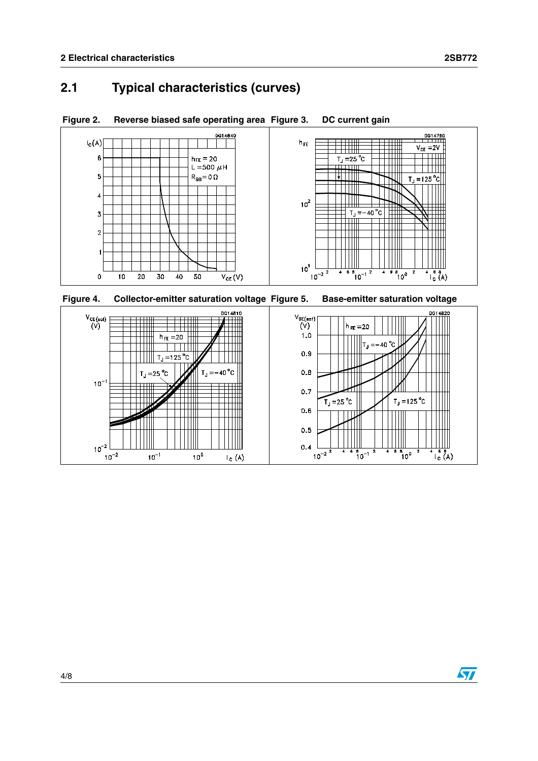### **2.1 Typical characteristics (curves)**





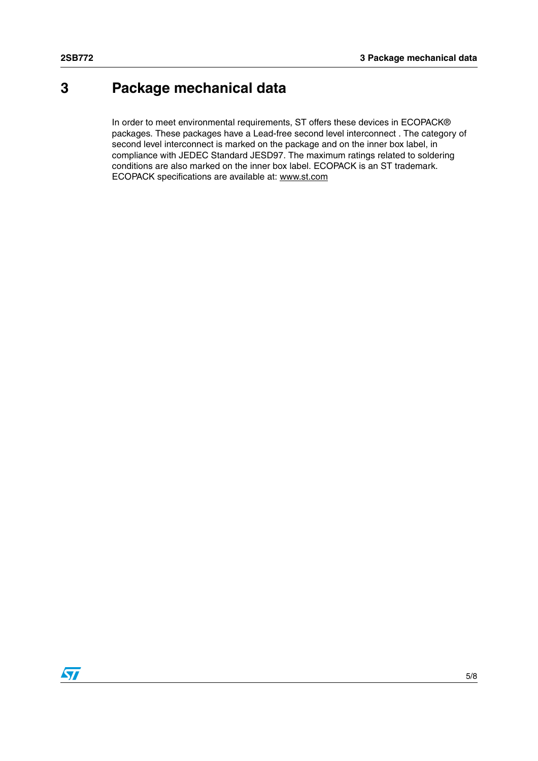# **3 Package mechanical data**

In order to meet environmental requirements, ST offers these devices in ECOPACK® packages. These packages have a Lead-free second level interconnect . The category of second level interconnect is marked on the package and on the inner box label, in compliance with JEDEC Standard JESD97. The maximum ratings related to soldering conditions are also marked on the inner box label. ECOPACK is an ST trademark. ECOPACK specifications are available at: www.st.com

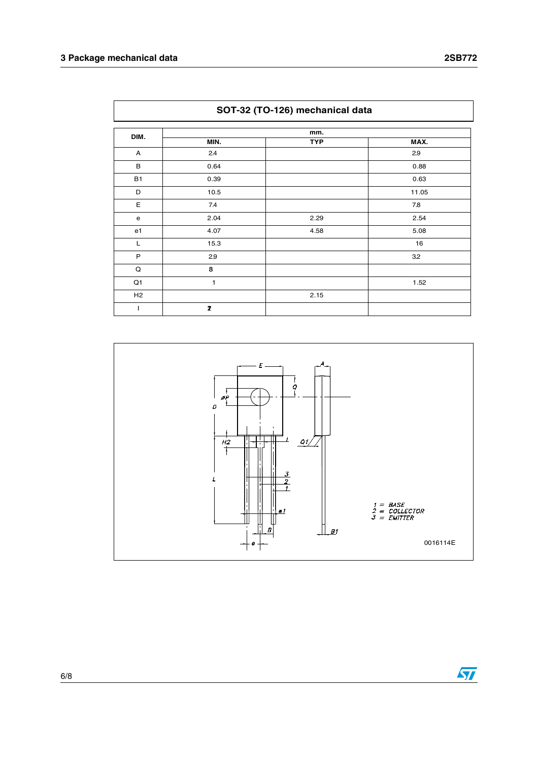| SOT-32 (TO-126) mechanical data |      |            |       |  |
|---------------------------------|------|------------|-------|--|
| DIM.                            |      | mm.        |       |  |
|                                 | MIN. | <b>TYP</b> | MAX.  |  |
| Α                               | 2.4  |            | 2.9   |  |
| B                               | 0.64 |            | 0.88  |  |
| <b>B1</b>                       | 0.39 |            | 0.63  |  |
| D                               | 10.5 |            | 11.05 |  |
| E                               | 7.4  |            | 7.8   |  |
| e                               | 2.04 | 2.29       | 2.54  |  |
| e <sub>1</sub>                  | 4.07 | 4.58       | 5.08  |  |
| L                               | 15.3 |            | 16    |  |
| $\mathsf P$                     | 2.9  |            | 3.2   |  |
| Q                               | 8    |            |       |  |
| Q1                              | 1    |            | 1.52  |  |
| H2                              |      | 2.15       |       |  |
| J.                              | 2    |            |       |  |

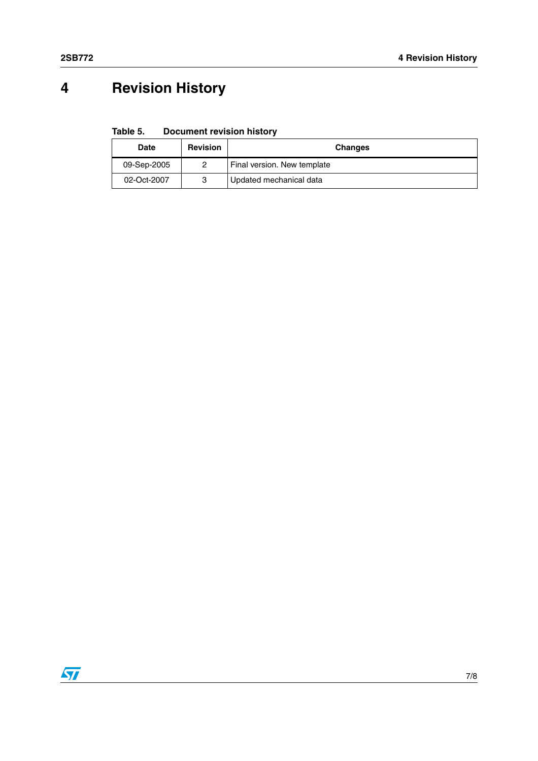# **4 Revision History**

**Table 5. Document revision history**

| Date        | <b>Revision</b> | Changes                     |
|-------------|-----------------|-----------------------------|
| 09-Sep-2005 |                 | Final version. New template |
| 02-Oct-2007 | 3               | Updated mechanical data     |